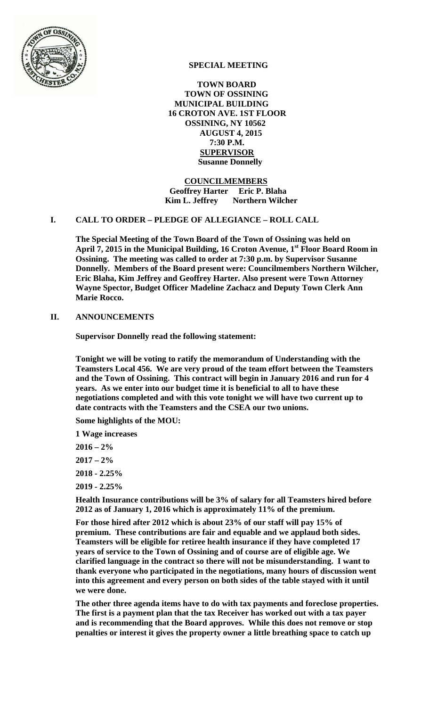

# **SPECIAL MEETING**

 **TOWN BOARD TOWN OF OSSINING MUNICIPAL BUILDING 16 CROTON AVE. 1ST FLOOR OSSINING, NY 10562 AUGUST 4, 2015 7:30 P.M. SUPERVISOR Susanne Donnelly** 

 **COUNCILMEMBERS Geoffrey Harter Eric P. Blaha Kim L. Jeffrey** Northern Wilcher

### **I. CALL TO ORDER – PLEDGE OF ALLEGIANCE – ROLL CALL**

**The Special Meeting of the Town Board of the Town of Ossining was held on**  April 7, 2015 in the Municipal Building, 16 Croton Avenue, 1<sup>st</sup> Floor Board Room in **Ossining. The meeting was called to order at 7:30 p.m. by Supervisor Susanne Donnelly. Members of the Board present were: Councilmembers Northern Wilcher, Eric Blaha, Kim Jeffrey and Geoffrey Harter. Also present were Town Attorney Wayne Spector, Budget Officer Madeline Zachacz and Deputy Town Clerk Ann Marie Rocco.** 

## **II. ANNOUNCEMENTS**

**Supervisor Donnelly read the following statement:** 

**Tonight we will be voting to ratify the memorandum of Understanding with the Teamsters Local 456. We are very proud of the team effort between the Teamsters and the Town of Ossining. This contract will begin in January 2016 and run for 4 years. As we enter into our budget time it is beneficial to all to have these negotiations completed and with this vote tonight we will have two current up to date contracts with the Teamsters and the CSEA our two unions.** 

**Some highlights of the MOU:** 

**1 Wage increases** 

- **2016 2%**
- **2017 2%**
- **2018 2.25%**
- **2019 2.25%**

**Health Insurance contributions will be 3% of salary for all Teamsters hired before 2012 as of January 1, 2016 which is approximately 11% of the premium.** 

**For those hired after 2012 which is about 23% of our staff will pay 15% of premium. These contributions are fair and equable and we applaud both sides. Teamsters will be eligible for retiree health insurance if they have completed 17 years of service to the Town of Ossining and of course are of eligible age. We clarified language in the contract so there will not be misunderstanding. I want to thank everyone who participated in the negotiations, many hours of discussion went into this agreement and every person on both sides of the table stayed with it until we were done.** 

**The other three agenda items have to do with tax payments and foreclose properties. The first is a payment plan that the tax Receiver has worked out with a tax payer and is recommending that the Board approves. While this does not remove or stop penalties or interest it gives the property owner a little breathing space to catch up**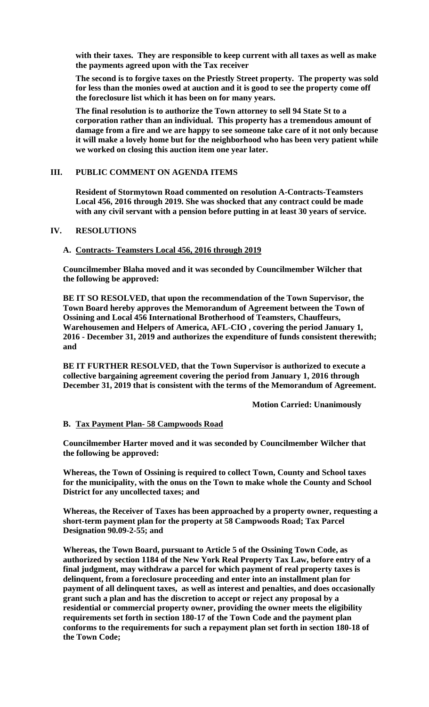**with their taxes. They are responsible to keep current with all taxes as well as make the payments agreed upon with the Tax receiver** 

**The second is to forgive taxes on the Priestly Street property. The property was sold for less than the monies owed at auction and it is good to see the property come off the foreclosure list which it has been on for many years.** 

**The final resolution is to authorize the Town attorney to sell 94 State St to a corporation rather than an individual. This property has a tremendous amount of damage from a fire and we are happy to see someone take care of it not only because it will make a lovely home but for the neighborhood who has been very patient while we worked on closing this auction item one year later.** 

### **III. PUBLIC COMMENT ON AGENDA ITEMS**

**Resident of Stormytown Road commented on resolution A-Contracts-Teamsters Local 456, 2016 through 2019. She was shocked that any contract could be made with any civil servant with a pension before putting in at least 30 years of service.** 

### **IV. RESOLUTIONS**

### **A. Contracts- Teamsters Local 456, 2016 through 2019**

**Councilmember Blaha moved and it was seconded by Councilmember Wilcher that the following be approved:** 

**BE IT SO RESOLVED, that upon the recommendation of the Town Supervisor, the Town Board hereby approves the Memorandum of Agreement between the Town of Ossining and Local 456 International Brotherhood of Teamsters, Chauffeurs, Warehousemen and Helpers of America, AFL-CIO , covering the period January 1, 2016 - December 31, 2019 and authorizes the expenditure of funds consistent therewith; and** 

**BE IT FURTHER RESOLVED, that the Town Supervisor is authorized to execute a collective bargaining agreement covering the period from January 1, 2016 through December 31, 2019 that is consistent with the terms of the Memorandum of Agreement.** 

 **Motion Carried: Unanimously** 

#### **B. Tax Payment Plan- 58 Campwoods Road**

**Councilmember Harter moved and it was seconded by Councilmember Wilcher that the following be approved:** 

**Whereas, the Town of Ossining is required to collect Town, County and School taxes for the municipality, with the onus on the Town to make whole the County and School District for any uncollected taxes; and** 

**Whereas, the Receiver of Taxes has been approached by a property owner, requesting a short-term payment plan for the property at 58 Campwoods Road; Tax Parcel Designation 90.09-2-55; and** 

**Whereas, the Town Board, pursuant to Article 5 of the Ossining Town Code, as authorized by section 1184 of the New York Real Property Tax Law, before entry of a final judgment, may withdraw a parcel for which payment of real property taxes is delinquent, from a foreclosure proceeding and enter into an installment plan for payment of all delinquent taxes, as well as interest and penalties, and does occasionally grant such a plan and has the discretion to accept or reject any proposal by a residential or commercial property owner, providing the owner meets the eligibility requirements set forth in section 180-17 of the Town Code and the payment plan conforms to the requirements for such a repayment plan set forth in section 180-18 of the Town Code;**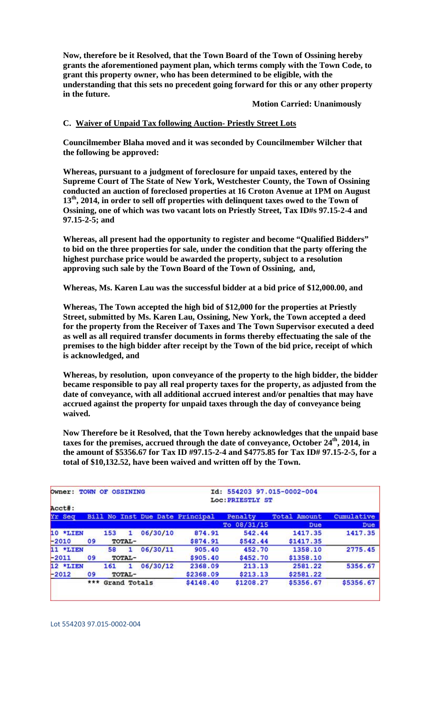**Now, therefore be it Resolved, that the Town Board of the Town of Ossining hereby grants the aforementioned payment plan, which terms comply with the Town Code, to grant this property owner, who has been determined to be eligible, with the understanding that this sets no precedent going forward for this or any other property in the future.** 

 **Motion Carried: Unanimously** 

## **C. Waiver of Unpaid Tax following Auction- Priestly Street Lots**

**Councilmember Blaha moved and it was seconded by Councilmember Wilcher that the following be approved:** 

**Whereas, pursuant to a judgment of foreclosure for unpaid taxes, entered by the Supreme Court of The State of New York, Westchester County, the Town of Ossining conducted an auction of foreclosed properties at 16 Croton Avenue at 1PM on August 13th, 2014, in order to sell off properties with delinquent taxes owed to the Town of Ossining, one of which was two vacant lots on Priestly Street, Tax ID#s 97.15-2-4 and 97.15-2-5; and**

**Whereas, all present had the opportunity to register and become "Qualified Bidders" to bid on the three properties for sale, under the condition that the party offering the highest purchase price would be awarded the property, subject to a resolution approving such sale by the Town Board of the Town of Ossining, and,** 

**Whereas, Ms. Karen Lau was the successful bidder at a bid price of \$12,000.00, and** 

**Whereas, The Town accepted the high bid of \$12,000 for the properties at Priestly Street, submitted by Ms. Karen Lau, Ossining, New York, the Town accepted a deed for the property from the Receiver of Taxes and The Town Supervisor executed a deed as well as all required transfer documents in forms thereby effectuating the sale of the premises to the high bidder after receipt by the Town of the bid price, receipt of which is acknowledged, and** 

**Whereas, by resolution, upon conveyance of the property to the high bidder, the bidder became responsible to pay all real property taxes for the property, as adjusted from the date of conveyance, with all additional accrued interest and/or penalties that may have accrued against the property for unpaid taxes through the day of conveyance being waived.** 

**Now Therefore be it Resolved, that the Town hereby acknowledges that the unpaid base taxes for the premises, accrued through the date of conveyance, October 24th, 2014, in the amount of \$5356.67 for Tax ID #97.15-2-4 and \$4775.85 for Tax ID# 97.15-2-5, for a total of \$10,132.52, have been waived and written off by the Town.**

| Owner:   |     |        | <b>TOWN OF OSSINING</b> |          | Id: 554203 97.015-0002-004<br>Loc: PRIESTLY ST |                       |                     |            |  |  |  |  |  |  |  |
|----------|-----|--------|-------------------------|----------|------------------------------------------------|-----------------------|---------------------|------------|--|--|--|--|--|--|--|
| Acct#:   |     |        |                         |          |                                                |                       |                     |            |  |  |  |  |  |  |  |
| Yr Seq   |     |        |                         |          | Bill No Inst Due Date Principal                | Penalty               | <b>Total Amount</b> | Cumulative |  |  |  |  |  |  |  |
|          |     |        |                         |          |                                                | 08/31/15<br><b>To</b> | Due                 | Due        |  |  |  |  |  |  |  |
| 10 *LIEN |     | 153    | 1.                      | 06/30/10 | 874.91                                         | 542.44                | 1417.35             | 1417.35    |  |  |  |  |  |  |  |
| $-2010$  | 09  | TOTAL- |                         |          | \$874.91                                       | \$542.44              | \$1417.35           |            |  |  |  |  |  |  |  |
| 11 *LIEN |     | 58     | 1                       | 06/30/11 | 905.40                                         | 452.70                | 1358.10             | 2775.45    |  |  |  |  |  |  |  |
| $-2011$  | 09  | TOTAL- |                         |          | \$905.40                                       | \$452.70              | \$1358.10           |            |  |  |  |  |  |  |  |
| 12 *LIEN |     | 161    | ı                       | 06/30/12 | 2368.09                                        | 213.13                | 2581.22             | 5356.67    |  |  |  |  |  |  |  |
| $-2012$  | 09  | TOTAL- |                         |          | \$2368.09                                      | \$213.13              | \$2581.22           |            |  |  |  |  |  |  |  |
|          | *** |        | Grand Totals            |          | \$4148.40                                      | \$1208.27             | \$5356.67           | \$5356.67  |  |  |  |  |  |  |  |
|          |     |        |                         |          |                                                |                       |                     |            |  |  |  |  |  |  |  |

Lot 554203 97.015‐0002‐004